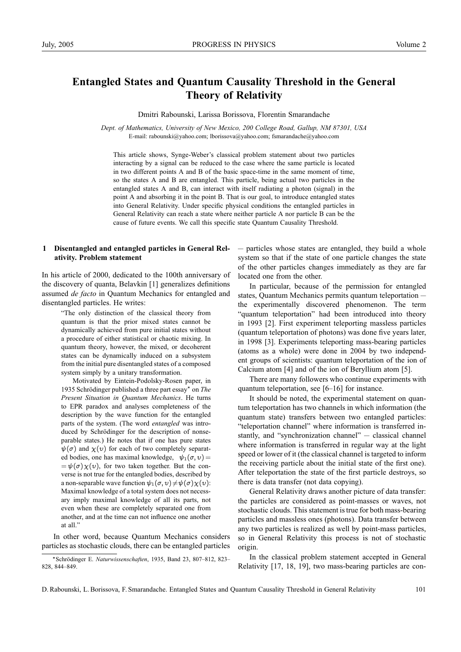# **Entangled States and Quantum Causality Threshold in the General Theory of Relativity**

#### Dmitri Rabounski, Larissa Borissova, Florentin Smarandache

*Dept. of Mathematics, University of New Mexico, 200 College Road, Gallup, NM 87301, USA* E-mail: rabounski@yahoo.com; lborissova@yahoo.com; fsmarandache@yahoo.com

This article shows, Synge-Weber's classical problem statement about two particles interacting by a signal can be reduced to the case where the same particle is located in two different points A and B of the basic space-time in the same moment of time, so the states A and B are entangled. This particle, being actual two particles in the entangled states A and B, can interact with itself radiating a photon (signal) in the point A and absorbing it in the point B. That is our goal, to introduce entangled states into General Relativity. Under specific physical conditions the entangled particles in General Relativity can reach a state where neither particle A nor particle B can be the cause of future events. We call this specific state Quantum Causality Threshold.

## **1 Disentangled and entangled particles in General Relativity. Problem statement**

In his article of 2000, dedicated to the 100th anniversary of the discovery of quanta, Belavkin [1] generalizes definitions assumed *de facto* in Quantum Mechanics for entangled and disentangled particles. He writes:

> "The only distinction of the classical theory from quantum is that the prior mixed states cannot be dynamically achieved from pure initial states without a procedure of either statistical or chaotic mixing. In quantum theory, however, the mixed, or decoherent states can be dynamically induced on a subsystem from the initial pure disentangled states of a composed system simply by a unitary transformation.

> Motivated by Eintein-Podolsky-Rosen paper, in 1935 Schrödinger published a three part essay<sup>\*</sup> on *The Present Situation in Quantum Mechanics*. He turns to EPR paradox and analyses completeness of the description by the wave function for the entangled parts of the system. (The word *entangled* was introduced by Schrödinger for the description of nonseparable states.) He notes that if one has pure states  $\psi(\sigma)$  and  $\chi(\nu)$  for each of two completely separated bodies, one has maximal knowledge,  $\psi_1(\sigma, v) =$  $=\psi(\sigma)\chi(v)$ , for two taken together. But the converse is not true for the entangled bodies, described by a non-separable wave function  $\psi_1(\sigma, v) \neq \psi(\sigma) \chi(v)$ : Maximal knowledge of a total system does not necessary imply maximal knowledge of all its parts, not even when these are completely separated one from another, and at the time can not influence one another at all."

In other word, because Quantum Mechanics considers particles as stochastic clouds, there can be entangled particles — particles whose states are entangled, they build a whole system so that if the state of one particle changes the state of the other particles changes immediately as they are far located one from the other.

In particular, because of the permission for entangled states, Quantum Mechanics permits quantum teleportation the experimentally discovered phenomenon. The term "quantum teleportation" had been introduced into theory in 1993 [2]. First experiment teleporting massless particles (quantum teleportation of photons) was done five years later, in 1998 [3]. Experiments teleporting mass-bearing particles (atoms as a whole) were done in 2004 by two independent groups of scientists: quantum teleportation of the ion of Calcium atom [4] and of the ion of Beryllium atom [5].

There are many followers who continue experiments with quantum teleportation, see [6–16] for instance.

It should be noted, the experimental statement on quantum teleportation has two channels in which information (the quantum state) transfers between two entangled particles: "teleportation channel" where information is transferred instantly, and "synchronization channel" — classical channel where information is transferred in regular way at the light speed or lower of it (the classical channel is targeted to inform the receiving particle about the initial state of the first one). After teleportation the state of the first particle destroys, so there is data transfer (not data copying).

General Relativity draws another picture of data transfer: the particles are considered as point-masses or waves, not stochastic clouds. This statement is true for both mass-bearing particles and massless ones (photons). Data transfer between any two particles is realized as well by point-mass particles, so in General Relativity this process is not of stochastic origin.

In the classical problem statement accepted in General Relativity [17, 18, 19], two mass-bearing particles are con-

<sup>∗</sup>Schrodinger E. ¨ *Naturwissenschaften*, 1935, Band 23, 807–812, 823– 828, 844–849.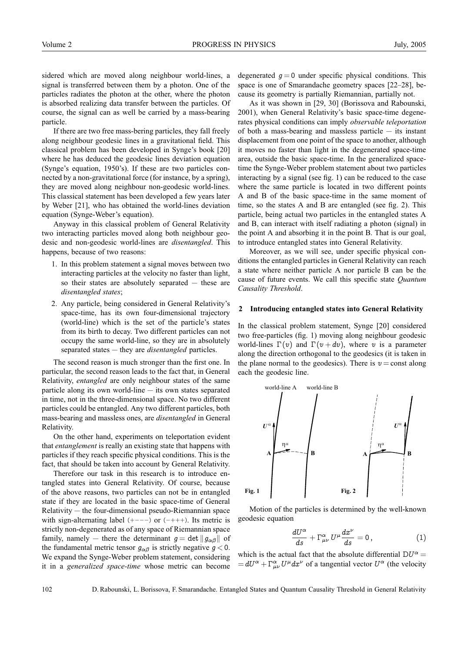sidered which are moved along neighbour world-lines, a signal is transferred between them by a photon. One of the particles radiates the photon at the other, where the photon is absorbed realizing data transfer between the particles. Of course, the signal can as well be carried by a mass-bearing particle.

If there are two free mass-bering particles, they fall freely along neighbour geodesic lines in a gravitational field. This classical problem has been developed in Synge's book [20] where he has deduced the geodesic lines deviation equation (Synge's equation, 1950's). If these are two particles connected by a non-gravitational force (for instance, by a spring), they are moved along neighbour non-geodesic world-lines. This classical statement has been developed a few years later by Weber [21], who has obtained the world-lines deviation equation (Synge-Weber's equation).

Anyway in this classical problem of General Relativity two interacting particles moved along both neighbour geodesic and non-geodesic world-lines are *disentangled*. This happens, because of two reasons:

- 1. In this problem statement a signal moves between two interacting particles at the velocity no faster than light, so their states are absolutely separated — these are *disentangled states*;
- 2. Any particle, being considered in General Relativity's space-time, has its own four-dimensional trajectory (world-line) which is the set of the particle's states from its birth to decay. Two different particles can not occupy the same world-line, so they are in absolutely separated states — they are *disentangled* particles.

The second reason is much stronger than the first one. In particular, the second reason leads to the fact that, in General Relativity, *entangled* are only neighbour states of the same particle along its own world-line — its own states separated in time, not in the three-dimensional space. No two different particles could be entangled. Any two different particles, both mass-bearing and massless ones, are *disentangled* in General Relativity.

On the other hand, experiments on teleportation evident that *entanglement* is really an existing state that happens with particles if they reach specific physical conditions. This is the fact, that should be taken into account by General Relativity.

Therefore our task in this research is to introduce entangled states into General Relativity. Of course, because of the above reasons, two particles can not be in entangled state if they are located in the basic space-time of General Relativity — the four-dimensional pseudo-Riemannian space with sign-alternating label  $(+---)$  or  $(-++)$ . Its metric is strictly non-degenerated as of any space of Riemannian space family, namely — there the determinant  $g = det ||g_{\alpha\beta}||$  of the fundamental metric tensor  $g_{\alpha\beta}$  is strictly negative  $g < 0$ . We expand the Synge-Weber problem statement, considering it in a *generalized space-time* whose metric can become

degenerated  $q = 0$  under specific physical conditions. This space is one of Smarandache geometry spaces [22–28], because its geometry is partially Riemannian, partially not.

As it was shown in [29, 30] (Borissova and Rabounski, 2001), when General Relativity's basic space-time degenerates physical conditions can imply *observable teleportation* of both a mass-bearing and massless particle — its instant displacement from one point of the space to another, although it moves no faster than light in the degenerated space-time area, outside the basic space-time. In the generalized spacetime the Synge-Weber problem statement about two particles interacting by a signal (see fig. 1) can be reduced to the case where the same particle is located in two different points A and B of the basic space-time in the same moment of time, so the states A and B are entangled (see fig. 2). This particle, being actual two particles in the entangled states A and B, can interact with itself radiating a photon (signal) in the point A and absorbing it in the point B. That is our goal, to introduce entangled states into General Relativity.

Moreover, as we will see, under specific physical conditions the entangled particles in General Relativity can reach a state where neither particle A nor particle B can be the cause of future events. We call this specific state *Quantum Causality Threshold*.

#### **2 Introducing entangled states into General Relativity**

In the classical problem statement, Synge [20] considered two free-particles (fig. 1) moving along neighbour geodesic world-lines  $\Gamma(v)$  and  $\Gamma(v+dv)$ , where v is a parameter along the direction orthogonal to the geodesics (it is taken in the plane normal to the geodesics). There is  $v =$ const along each the geodesic line.



Motion of the particles is determined by the well-known geodesic equation

$$
\frac{dU^{\alpha}}{ds} + \Gamma^{\alpha}_{\mu\nu} U^{\mu} \frac{dx^{\nu}}{ds} = 0 , \qquad (1)
$$

which is the actual fact that the absolute differential  $DU^{\alpha} =$  $= dU^{\alpha} + \Gamma^{\alpha}_{\mu\nu} U^{\mu} dx^{\nu}$  of a tangential vector  $U^{\alpha}$  (the velocity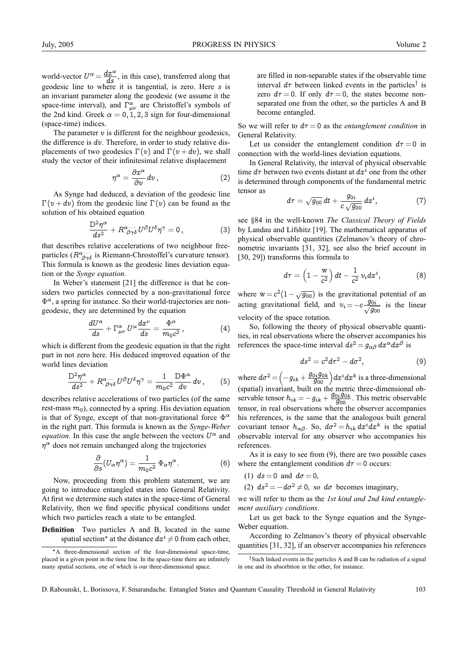The parameter  $v$  is different for the neighbour geodesics, the difference is dv. Therefore, in order to study relative displacements of two geodesics  $\Gamma(v)$  and  $\Gamma(v + dv)$ , we shall study the vector of their infinitesimal relative displacement

$$
\eta^{\alpha} = \frac{\partial x^{\alpha}}{\partial v} dv , \qquad (2)
$$

As Synge had deduced, a deviation of the geodesic line  $\Gamma(v + dv)$  from the geodesic line  $\Gamma(v)$  can be found as the solution of his obtained equation

$$
\frac{\mathrm{D}^2\eta^{\alpha}}{ds^2} + R^{\alpha\cdots}_{.\beta\gamma\delta}U^{\beta}U^{\delta}\eta^{\gamma} = 0, \qquad (3)
$$

that describes relative accelerations of two neighbour freeparticles ( $R^{\alpha}_{\beta\gamma\delta}$  is Riemann-Chrostoffel's curvature tensor). This formula is known as the geodesic lines deviation equation or the *Synge equation*.

In Weber's statement [21] the difference is that he considers two particles connected by a non-gravitational force  $\Phi^{\alpha}$ , a spring for instance. So their world-trajectories are nongeodesic, they are determined by the equation

$$
\frac{dU^{\alpha}}{ds} + \Gamma^{\alpha}_{\mu\nu} U^{\mu} \frac{dx^{\nu}}{ds} = \frac{\Phi^{\alpha}}{m_0 c^2}, \qquad (4)
$$

which is different from the geodesic equation in that the right part in not zero here. His deduced improved equation of the world lines deviation

$$
\frac{\mathrm{D}^2\eta^{\alpha}}{ds^2} + R^{\alpha\cdots}_{\beta\gamma\delta}U^{\beta}U^{\delta}\eta^{\gamma} = \frac{1}{m_0c^2}\frac{\mathrm{D}\Phi^{\alpha}}{dv}dv, \qquad (5)
$$

describes relative accelerations of two particles (of the same rest-mass  $m_0$ ), connected by a spring. His deviation equation is that of Synge, except of that non-gravitational force  $\Phi^{\alpha}$ in the right part. This formula is known as the *Synge-Weber equation*. In this case the angle between the vectors  $U^{\alpha}$  and  $\eta^{\alpha}$  does not remain unchanged along the trajectories

$$
\frac{\partial}{\partial s}(U_{\alpha}\eta^{\alpha}) = \frac{1}{m_0c^2} \Phi_{\alpha}\eta^{\alpha}.
$$
 (6)

Now, proceeding from this problem statement, we are going to introduce entangled states into General Relativity. At first we determine such states in the space-time of General Relativity, then we find specific physical conditions under which two particles reach a state to be entangled.

**Definition** Two particles A and B, located in the same spatial section<sup>∗</sup> at the distance  $dx^{i} \neq 0$  from each other, are filled in non-separable states if the observable time interval  $d\tau$  between linked events in the particles<sup>†</sup> is zero  $d\tau = 0$ . If only  $d\tau = 0$ , the states become nonseparated one from the other, so the particles A and B become entangled.

So we will refer to  $d\tau = 0$  as the *entanglement condition* in General Relativity.

Let us consider the entanglement condition  $d\tau = 0$  in connection with the world-lines deviation equations.

In General Relativity, the interval of physical observable time  $d\tau$  between two events distant at  $dx^{i}$  one from the other is determined through components of the fundamental metric tensor as

$$
d\tau = \sqrt{g_{00}}\, dt + \frac{g_{0i}}{c\,\sqrt{g_{00}}}\, dx^i, \qquad \qquad (7)
$$

see §84 in the well-known *The Classical Theory of Fields* by Landau and Lifshitz [19]. The mathematical apparatus of physical observable quantities (Zelmanov's theory of chronometric invariants [31, 32], see also the brief account in [30, 29]) transforms this formula to

$$
d\tau = \left(1 - \frac{w}{c^2}\right)dt - \frac{1}{c^2}v_i dx^i, \tag{8}
$$

where  $w = c^2(1 - \sqrt{g_{00}})$  is the gravitational potential of an acting gravitational field, and  $v_i = -c \frac{g_{0i}}{\sqrt{g_0}}$  $\frac{\sqrt{0i}}{g_{00}}$  is the linear velocity of the space rotation.

So, following the theory of physical observable quantities, in real observations where the observer accompanies his references the space-time interval  $ds^2 = g_{\alpha\beta} dx^{\alpha} dx^{\beta}$  is

$$
ds^2 = c^2 d\tau^2 - d\sigma^2, \qquad (9)
$$

where  $d\sigma^2 = \left(-g_{ik} + \frac{g_{0i}g_{0k}}{g_{00}}\right)dx^idx^k$  is a three-dimensional (spatial) invariant, built on the metric three-dimensional observable tensor  $h_{ik} = -g_{ik} + \frac{g_{0i}g_{0k}}{g_{00}}$ . This metric observable tensor, in real observations where the observer accompanies his references, is the same that the analogous built general covariant tensor  $h_{\alpha\beta}$ . So,  $d\sigma^2 = h_{ik} dx^i dx^k$  is the spatial observable interval for any observer who accompanies his references.

As it is easy to see from (9), there are two possible cases where the entanglement condition  $d\tau = 0$  occurs:

- (1)  $ds = 0$  and  $d\sigma = 0$ ,
- (2)  $ds^2 = -d\sigma^2 \neq 0$ , so  $d\sigma$  becomes imaginary,

we will refer to them as the *1st kind and 2nd kind entanglement auxiliary conditions*.

Let us get back to the Synge equation and the Synge-Weber equation.

According to Zelmanov's theory of physical observable quantities [31, 32], if an observer accompanies his references

<sup>∗</sup>A three-dimensional section of the four-dimensional space-time, placed in a given point in the time line. In the space-time there are infinitely many spatial sections, one of which is our three-dimensional space.

<sup>†</sup>Such linked events in the particles A and B can be radiation of a signal in one and its absorbtion in the other, for instance.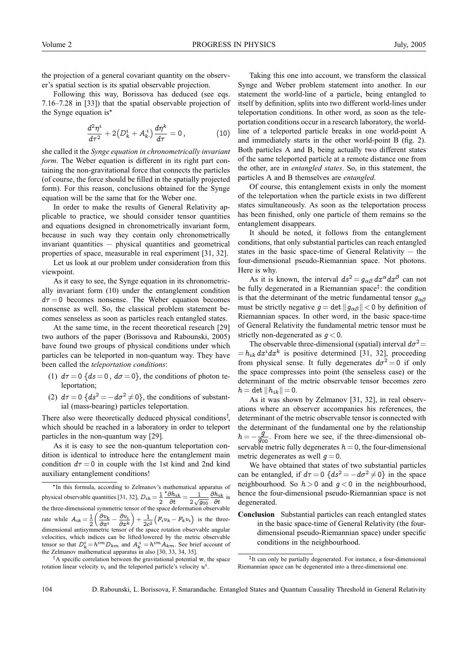the projection of a general covariant quantity on the observer's spatial section is its spatial observable projection.

Following this way, Borissova has deduced (see eqs. 7.16–7.28 in [33]) that the spatial observable projection of the Synge equation is∗

$$
\frac{d^2\eta^i}{d\tau^2} + 2\big(D_k^i + A_k^{i}\big)\frac{d\eta^k}{d\tau} = 0\,,\tag{10}
$$

she called it the *Synge equation in chronometrically invariant form*. The Weber equation is different in its right part containing the non-gravitational force that connects the particles (of course, the force should be filled in the spatially projected form). For this reason, conclusions obtained for the Synge equation will be the same that for the Weber one.

In order to make the results of General Relativity applicable to practice, we should consider tensor quantities and equations designed in chronometrically invariant form, because in such way they contain only chronometrically invariant quantities — physical quantities and geometrical properties of space, measurable in real experiment [31, 32].

Let us look at our problem under consideration from this viewpoint.

As it easy to see, the Synge equation in its chronometrically invariant form (10) under the entanglement condition  $d\tau = 0$  becomes nonsense. The Weber equation becomes nonsense as well. So, the classical problem statement becomes senseless as soon as particles reach entangled states.

At the same time, in the recent theoretical research [29] two authors of the paper (Borissova and Rabounski, 2005) have found two groups of physical conditions under which particles can be teleported in non-quantum way. They have been called the *teleportation conditions*:

- (1)  $d\tau = 0$  { $ds = 0$ ,  $d\sigma = 0$ }, the conditions of photon teleportation<sub>1</sub>
- (2)  $d\tau = 0$  { $ds^2 = -d\sigma^2 \neq 0$ }, the conditions of substantial (mass-bearing) particles teleportation.

There also were theoretically deduced physical conditions† , which should be reached in a laboratory in order to teleport particles in the non-quantum way [29].

As it is easy to see the non-quantum teleportation condition is identical to introduce here the entanglement main condition  $d\tau = 0$  in couple with the 1st kind and 2nd kind auxiliary entanglement conditions!

Taking this one into account, we transform the classical Synge and Weber problem statement into another. In our statement the world-line of a particle, being entangled to itself by definition, splits into two different world-lines under teleportation conditions. In other word, as soon as the teleportation conditions occur in a research laboratory, the worldline of a teleported particle breaks in one world-point A and immediately starts in the other world-point B (fig. 2). Both particles A and B, being actually two different states of the same teleported particle at a remote distance one from the other, are in *entangled states*. So, in this statement, the particles A and B themselves are *entangled*.

Of course, this entanglement exists in only the moment of the teleportation when the particle exists in two different states simultaneously. As soon as the teleportation process has been finished, only one particle of them remains so the entanglement disappears.

It should be noted, it follows from the entanglement conditions, that only substantial particles can reach entangled states in the basic space-time of General Relativity — the four-dimensional pseudo-Riemannian space. Not photons. Here is why.

As it is known, the interval  $ds^2 = g_{\alpha\beta} dx^{\alpha} dx^{\beta}$  can not be fully degenerated in a Riemannian space<sup> $\ddagger$ </sup>: the condition is that the determinant of the metric fundamental tensor  $q_{\alpha\beta}$ must be strictly negative  $g = \det \|g_{\alpha\beta}\| < 0$  by definition of Riemannian spaces. In other word, in the basic space-time of General Relativity the fundamental metric tensor must be strictly non-degenerated as  $q < 0$ .

The observable three-dimensional (spatial) interval  $d\sigma^2$  =  $= h_{ik} dx^{i} dx^{k}$  is positive determined [31, 32], proceeding from physical sense. It fully degenerates  $d\sigma^2 = 0$  if only the space compresses into point (the senseless case) or the determinant of the metric observable tensor becomes zero  $h = \det ||h_{ik}|| = 0.$ 

As it was shown by Zelmanov [31, 32], in real observations where an observer accompanies his references, the determinant of the metric observable tensor is connected with the determinant of the fundamental one by the relationship  $h = -\frac{g}{g_{00}}$ . From here we see, if the three-dimensional observable metric fully degenerates  $h = 0$ , the four-dimensional metric degenerates as well  $q = 0$ .

We have obtained that states of two substantial particles can be entangled, if  $d\tau = 0$   $\{ds^2 = -d\sigma^2 \neq 0\}$  in the space neighbourhood. So  $h > 0$  and  $g < 0$  in the neighbourhood, hence the four-dimensional pseudo-Riemannian space is not degenerated.

**Conclusion** Substantial particles can reach entangled states in the basic space-time of General Relativity (the fourdimensional pseudo-Riemannian space) under specific conditions in the neighbourhood.

<sup>∗</sup>In this formula, according to Zelmanov's mathematical apparatus of physical observable quantities [31, 32],  $D_{ik} = \frac{1}{2}$  $\frac{^{\ast }\partial h_{ik}}{\partial t}=\frac{1}{2\sqrt{g_{00}}}\frac{\partial h_{ik}}{\partial t}$  $\frac{n_{ik}}{\partial t}$  is the three-dimensional symmetric tensor of the space deformation observable rate while  $A_{ik} = \frac{1}{2}$  $\left(\frac{\partial v_k}{\partial x^i}-\frac{\partial v_i}{\partial x^k}\right)$  $+\frac{1}{2c^2}\left(F_i v_k - F_k v_i\right)$  is the threedimensional antisymmetric tensor of the space rotation observable angular velocities, which indices can be lifted/lowered by the metric observable tensor so that  $D_k^i = h^{im} D_{km}$  and  $A_k^i = h^{im} A_{km}$ . See brief account of the Zelmanov mathematical apparatus in also [30, 33, 34, 35].

 $\uparrow$  A specific correlation between the gravitational potential w, the space rotation linear velocity  $v_i$  and the teleported particle's velocity  $u^i$ .

<sup>‡</sup>It can only be partially degenerated. For instance, a four-dimensional Riemannian space can be degenerated into a three-dimensional one.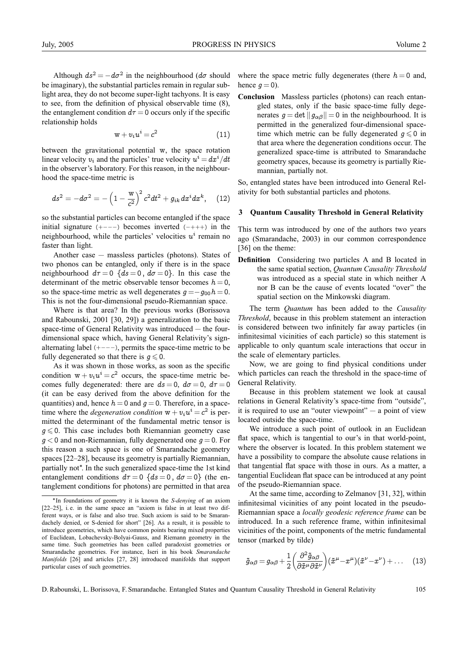Although  $ds^2 = -d\sigma^2$  in the neighbourhood ( $d\sigma$  should be imaginary), the substantial particles remain in regular sublight area, they do not become super-light tachyons. It is easy to see, from the definition of physical observable time (8), the entanglement condition  $d\tau = 0$  occurs only if the specific relationship holds

$$
\mathrm{w}+v_iu^i\!=\!c^2\qquad \qquad (11)
$$

between the gravitational potential w, the space rotation linear velocity  $v_i$  and the particles' true velocity  $u^i = dx^i/dt$ in the observer's laboratory. For this reason, in the neighbourhood the space-time metric is

$$
ds^{2}=-d\sigma^{2}=-\left(1-\frac{\mathrm{w}}{c^{2}}\right)^{2}c^{2}dt^{2}+g_{ik}dx^{i}dx^{k},\quad(12)
$$

so the substantial particles can become entangled if the space initial signature  $(+---)$  becomes inverted  $(-+++)$  in the neighbourhood, while the particles' velocities  $u^i$  remain no faster than light.

Another case — massless particles (photons). States of two phonos can be entangled, only if there is in the space neighbourhood  $d\tau = 0$  { $ds = 0$ ,  $d\sigma = 0$ }. In this case the determinant of the metric observable tensor becomes  $h = 0$ , so the space-time metric as well degenerates  $g = -g_{00}h = 0$ . This is not the four-dimensional pseudo-Riemannian space.

Where is that area? In the previous works (Borissova and Rabounski, 2001 [30, 29]) a generalization to the basic space-time of General Relativity was introduced — the fourdimensional space which, having General Relativity's signalternating label (+−−−), permits the space-time metric to be fully degenerated so that there is  $g \le 0$ .

As it was shown in those works, as soon as the specific condition  $w + v_i u^i = c^2$  occurs, the space-time metric becomes fully degenerated: there are  $ds = 0$ ,  $d\sigma = 0$ ,  $d\tau = 0$ (it can be easy derived from the above definition for the quantities) and, hence  $h = 0$  and  $q = 0$ . Therefore, in a spacetime where the *degeneration condition*  $w + v_i u^i = c^2$  is permitted the determinant of the fundamental metric tensor is  $q \leq 0$ . This case includes both Riemannian geometry case  $q < 0$  and non-Riemannian, fully degenerated one  $q = 0$ . For this reason a such space is one of Smarandache geometry spaces [22–28], because its geometry is partially Riemannian, partially not∗ . In the such generalized space-time the 1st kind entanglement conditions  $d\tau = 0$  { $ds = 0$ ,  $d\sigma = 0$ } (the entanglement conditions for photons) are permitted in that area

where the space metric fully degenerates (there  $h = 0$  and, hence  $q = 0$ ).

**Conclusion** Massless particles (photons) can reach entangled states, only if the basic space-time fully degenerates  $g = det ||g_{\alpha\beta}|| = 0$  in the neighbourhood. It is permitted in the generalized four-dimensional spacetime which metric can be fully degenerated  $g \le 0$  in that area where the degeneration conditions occur. The generalized space-time is attributed to Smarandache geometry spaces, because its geometry is partially Riemannian, partially not.

So, entangled states have been introduced into General Relativity for both substantial particles and photons.

#### **3 Quantum Causality Threshold in General Relativity**

This term was introduced by one of the authors two years ago (Smarandache, 2003) in our common correspondence [36] on the theme:

**Definition** Considering two particles A and B located in the same spatial section, *Quantum Causality Threshold* was introduced as a special state in which neither A nor B can be the cause of events located "over" the spatial section on the Minkowski diagram.

The term *Quantum* has been added to the *Causality Threshold*, because in this problem statement an interaction is considered between two infinitely far away particles (in infinitesimal vicinities of each particle) so this statement is applicable to only quantum scale interactions that occur in the scale of elementary particles.

Now, we are going to find physical conditions under which particles can reach the threshold in the space-time of General Relativity.

Because in this problem statement we look at causal relations in General Relativity's space-time from "outside", it is required to use an "outer viewpoint"  $-$  a point of view located outside the space-time.

We introduce a such point of outlook in an Euclidean flat space, which is tangential to our's in that world-point, where the observer is located. In this problem statement we have a possibility to compare the absolute cause relations in that tangential flat space with those in ours. As a matter, a tangential Euclidean flat space can be introduced at any point of the pseudo-Riemannian space.

At the same time, according to Zelmanov [31, 32], within infinitesimal vicinities of any point located in the pseudo-Riemannian space a *locally geodesic reference frame* can be introduced. In a such reference frame, within infinitesimal vicinities of the point, components of the metric fundamental tensor (marked by tilde)

$$
\tilde{g}_{\alpha\beta} = g_{\alpha\beta} + \frac{1}{2} \left( \frac{\partial^2 \tilde{g}_{\alpha\beta}}{\partial \tilde{x}^\mu \partial \tilde{x}^\nu} \right) (\tilde{x}^\mu - x^\mu)(\tilde{x}^\nu - x^\nu) + \dots \quad (13)
$$

D. Rabounski, L. Borissova, F. Smarandache. Entangled States and Quantum Causality Threshold in General Relativity 105

<sup>∗</sup>In foundations of geometry it is known the *S-denying* of an axiom [22–25], i.e. in the same space an "axiom is false in at least two different ways, or is false and also true. Such axiom is said to be Smarandachely denied, or S-denied for short" [26]. As a result, it is possible to introduce geometries, which have common points bearing mixed properties of Euclidean, Lobachevsky-Bolyai-Gauss, and Riemann geometry in the same time. Such geometries has been called paradoxist geometries or Smarandache geometries. For instance, Iseri in his book *Smarandache Manifolds* [26] and articles [27, 28] introduced manifolds that support particular cases of such geometries.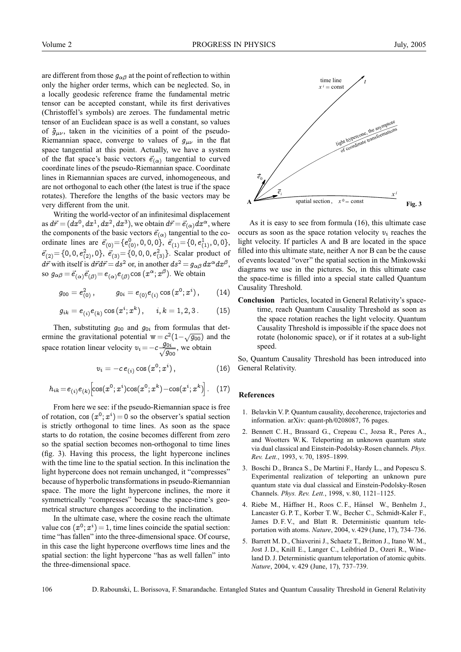are different from those  $g_{\alpha\beta}$  at the point of reflection to within only the higher order terms, which can be neglected. So, in a locally geodesic reference frame the fundamental metric tensor can be accepted constant, while its first derivatives (Christoffel's symbols) are zeroes. The fundamental metric tensor of an Euclidean space is as well a constant, so values of  $\tilde{g}_{\mu\nu}$ , taken in the vicinities of a point of the pseudo-Riemannian space, converge to values of  $q_{\mu\nu}$  in the flat space tangential at this point. Actually, we have a system of the flat space's basic vectors  $\vec{e}_{(\alpha)}$  tangential to curved coordinate lines of the pseudo-Riemannian space. Coordinate lines in Riemannian spaces are curved, inhomogeneous, and are not orthogonal to each other (the latest is true if the space rotates). Therefore the lengths of the basic vectors may be very different from the unit.

Writing the world-vector of an infinitesimal displacement as  $d\vec{r} = (dx^0, dx^1, dx^2, dx^3)$ , we obtain  $d\vec{r} = \vec{e}_{(\alpha)}dx^{\alpha}$ , where the components of the basic vectors  $\vec{e}_{(\alpha)}$  tangential to the coordinate lines are  $\vec{e}_{(0)} = \{e_{(0)}^0, 0, 0, 0\}, \ \vec{e}_{(1)} = \{0, e_{(1)}^1, 0, 0\},\$  $\vec{e}_{(2)} = \{0, 0, e_{(2)}^2, 0\}, \ \vec{e}_{(3)} = \{0, 0, 0, e_{(3)}^2\}.$  Scalar product of  $d\vec{r}$  with itself is  $d\vec{r}d\vec{r} = ds^2$  or, in another  $ds^2 = g_{\alpha\beta}\,dx^\alpha dx^\beta,$ so  $g_{\alpha\beta} = \vec{e}_{(\alpha)}\vec{e}_{(\beta)} = e_{(\alpha)}e_{(\beta)}\cos(x^{\alpha}; x^{\beta})$ . We obtain

$$
g_{00}=e_{(0)}^2\,,\qquad g_{0i}=e_{(0)}e_{(i)}\cos\left(x^0;x^i\right),\qquad(14)
$$

$$
g_{ik} = e_{(i)} e_{(k)} \cos(x^i; x^k), \quad i, k = 1, 2, 3. \tag{15}
$$

Then, substituting  $q_{00}$  and  $q_{0i}$  from formulas that determine the gravitational potential  $w = c^2(1-\sqrt{g_{00}})$  and the space rotation linear velocity  $v_i = -c \frac{g_{0i}}{\sqrt{g_0}}$  $\frac{\sqrt{0i}}{g_{00}}$ , we obtain

$$
v_i = -c\,e_{(i)}\cos\left(x^0;x^i\right),\qquad \qquad (16)
$$

$$
h_{ik} = e_{(i)} e_{(k)} \Big[ \cos(x^0; x^i) \cos(x^0; x^k) - \cos(x^i; x^k) \Big]. \quad (17)
$$

From here we see: if the pseudo-Riemannian space is free of rotation,  $cos(x^0; x^i) = 0$  so the observer's spatial section is strictly orthogonal to time lines. As soon as the space starts to do rotation, the cosine becomes different from zero so the spatial section becomes non-orthogonal to time lines (fig. 3). Having this process, the light hypercone inclines with the time line to the spatial section. In this inclination the light hypercone does not remain unchanged, it "compresses" because of hyperbolic transformations in pseudo-Riemannian space. The more the light hypercone inclines, the more it symmetrically "compresses" because the space-time's geometrical structure changes according to the inclination.

In the ultimate case, where the cosine reach the ultimate value cos  $(x^0; x^i) = 1$ , time lines coincide the spatial section: time "has fallen" into the three-dimensional space. Of course, in this case the light hypercone overflows time lines and the spatial section: the light hypercone "has as well fallen" into the three-dimensional space.



As it is easy to see from formula (16), this ultimate case occurs as soon as the space rotation velocity  $v_i$  reaches the light velocity. If particles A and B are located in the space filled into this ultimate state, neither A nor B can be the cause of events located "over" the spatial section in the Minkowski diagrams we use in the pictures. So, in this ultimate case the space-time is filled into a special state called Quantum Causality Threshold.

**Conclusion** Particles, located in General Relativity's spacetime, reach Quantum Causality Threshold as soon as the space rotation reaches the light velocity. Quantum Causality Threshold is impossible if the space does not rotate (holonomic space), or if it rotates at a sub-light speed.

So, Quantum Causality Threshold has been introduced into General Relativity.

### **References**

- 1. Belavkin V. P. Quantum causality, decoherence, trajectories and information. arXiv: quant-ph/0208087, 76 pages.
- 2. Bennett C. H., Brassard G., Crepeau C., Jozsa R., Peres A., and Wootters W. K. Teleporting an unknown quantum state via dual classical and Einstein-Podolsky-Rosen channels. *Phys. Rev. Lett.*, 1993, v. 70, 1895–1899.
- 3. Boschi D., Branca S., De Martini F., Hardy L., and Popescu S. Experimental realization of teleporting an unknown pure quantum state via dual classical and Einstein-Podolsky-Rosen Channels. *Phys. Rev. Lett.*, 1998, v. 80, 1121–1125.
- 4. Riebe M., Häffner H., Roos C. F., Hänsel W., Benhelm J., Lancaster G. P. T., Korber T. W., Becher C., Schmidt-Kaler F., James D. F. V., and Blatt R. Deterministic quantum teleportation with atoms. *Nature*, 2004, v. 429 (June, 17), 734–736.
- 5. Barrett M. D., Chiaverini J., Schaetz T., Britton J., Itano W. M., Jost J. D., Knill E., Langer C., Leibfried D., Ozeri R., Wineland D. J. Deterministic quantum teleportation of atomic qubits. *Nature*, 2004, v. 429 (June, 17), 737–739.